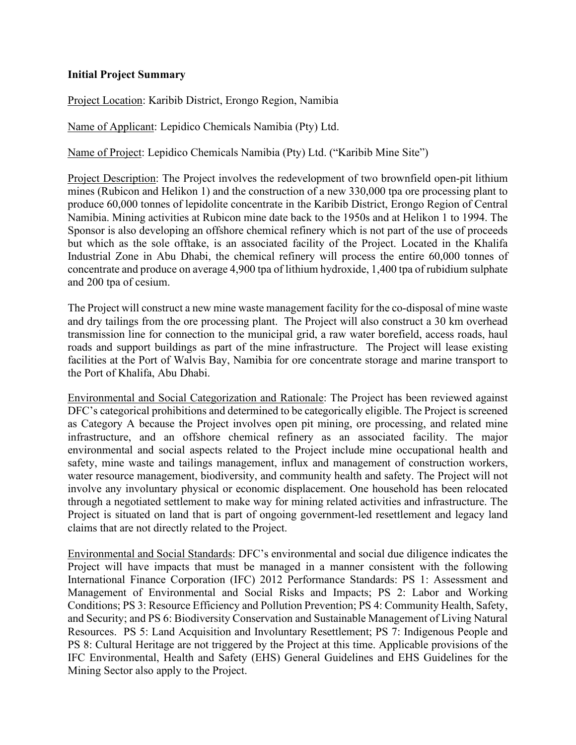## **Initial Project Summary**

Project Location: Karibib District, Erongo Region, Namibia

Name of Applicant: Lepidico Chemicals Namibia (Pty) Ltd.

Name of Project: Lepidico Chemicals Namibia (Pty) Ltd. ("Karibib Mine Site")

Project Description: The Project involves the redevelopment of two brownfield open-pit lithium mines (Rubicon and Helikon 1) and the construction of a new 330,000 tpa ore processing plant to produce 60,000 tonnes of lepidolite concentrate in the Karibib District, Erongo Region of Central Namibia. Mining activities at Rubicon mine date back to the 1950s and at Helikon 1 to 1994. The Sponsor is also developing an offshore chemical refinery which is not part of the use of proceeds but which as the sole offtake, is an associated facility of the Project. Located in the Khalifa Industrial Zone in Abu Dhabi, the chemical refinery will process the entire 60,000 tonnes of concentrate and produce on average 4,900 tpa of lithium hydroxide, 1,400 tpa of rubidium sulphate and 200 tpa of cesium.

The Project will construct a new mine waste management facility for the co-disposal of mine waste and dry tailings from the ore processing plant. The Project will also construct a 30 km overhead transmission line for connection to the municipal grid, a raw water borefield, access roads, haul roads and support buildings as part of the mine infrastructure. The Project will lease existing facilities at the Port of Walvis Bay, Namibia for ore concentrate storage and marine transport to the Port of Khalifa, Abu Dhabi.

Environmental and Social Categorization and Rationale: The Project has been reviewed against DFC's categorical prohibitions and determined to be categorically eligible. The Project is screened as Category A because the Project involves open pit mining, ore processing, and related mine infrastructure, and an offshore chemical refinery as an associated facility. The major environmental and social aspects related to the Project include mine occupational health and safety, mine waste and tailings management, influx and management of construction workers, water resource management, biodiversity, and community health and safety. The Project will not involve any involuntary physical or economic displacement. One household has been relocated through a negotiated settlement to make way for mining related activities and infrastructure. The Project is situated on land that is part of ongoing government-led resettlement and legacy land claims that are not directly related to the Project.

Environmental and Social Standards: DFC's environmental and social due diligence indicates the Project will have impacts that must be managed in a manner consistent with the following International Finance Corporation (IFC) 2012 Performance Standards: PS 1: Assessment and Management of Environmental and Social Risks and Impacts; PS 2: Labor and Working Conditions; PS 3: Resource Efficiency and Pollution Prevention; PS 4: Community Health, Safety, and Security; and PS 6: Biodiversity Conservation and Sustainable Management of Living Natural Resources. PS 5: Land Acquisition and Involuntary Resettlement; PS 7: Indigenous People and PS 8: Cultural Heritage are not triggered by the Project at this time. Applicable provisions of the IFC Environmental, Health and Safety (EHS) General Guidelines and EHS Guidelines for the Mining Sector also apply to the Project.